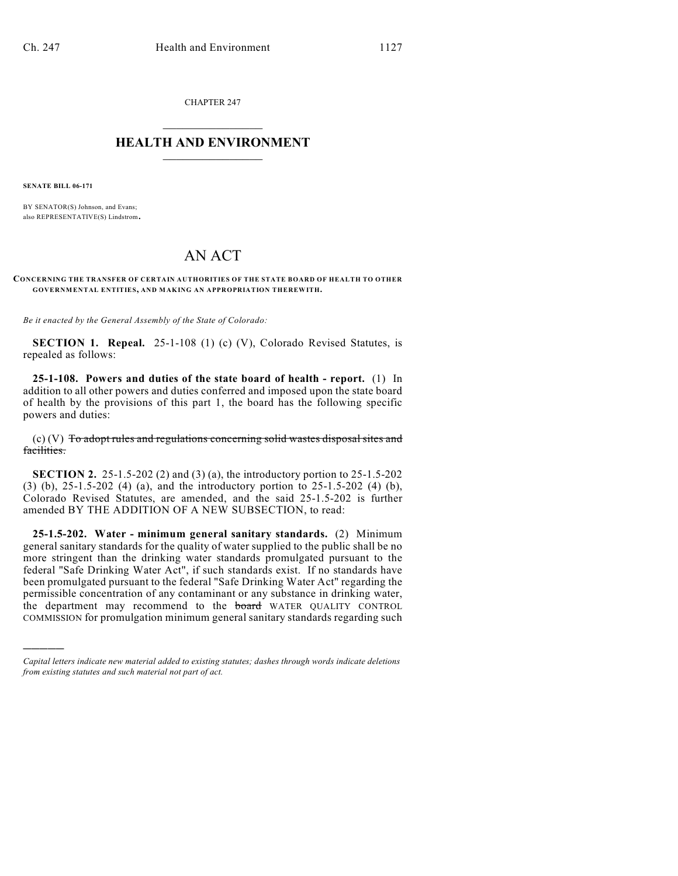CHAPTER 247  $\overline{\phantom{a}}$  . The set of the set of the set of the set of the set of the set of the set of the set of the set of the set of the set of the set of the set of the set of the set of the set of the set of the set of the set o

## **HEALTH AND ENVIRONMENT**  $\_$

**SENATE BILL 06-171**

)))))

BY SENATOR(S) Johnson, and Evans; also REPRESENTATIVE(S) Lindstrom.

## AN ACT

## **CONCERNING THE TRANSFER OF CERTAIN AUTHORITIES OF THE STATE BOARD OF HEALTH TO OTHER GOVERNMENTAL ENTITIES, AND MAKING AN APPROPRIATION THEREWITH.**

*Be it enacted by the General Assembly of the State of Colorado:*

**SECTION 1. Repeal.** 25-1-108 (1) (c) (V), Colorado Revised Statutes, is repealed as follows:

**25-1-108. Powers and duties of the state board of health - report.** (1) In addition to all other powers and duties conferred and imposed upon the state board of health by the provisions of this part 1, the board has the following specific powers and duties:

(c) (V) To adopt rules and regulations concerning solid wastes disposal sites and facilities.

**SECTION 2.** 25-1.5-202 (2) and (3) (a), the introductory portion to 25-1.5-202 (3) (b), 25-1.5-202 (4) (a), and the introductory portion to 25-1.5-202 (4) (b), Colorado Revised Statutes, are amended, and the said 25-1.5-202 is further amended BY THE ADDITION OF A NEW SUBSECTION, to read:

**25-1.5-202. Water - minimum general sanitary standards.** (2) Minimum general sanitary standards for the quality of water supplied to the public shall be no more stringent than the drinking water standards promulgated pursuant to the federal "Safe Drinking Water Act", if such standards exist. If no standards have been promulgated pursuant to the federal "Safe Drinking Water Act" regarding the permissible concentration of any contaminant or any substance in drinking water, the department may recommend to the **board** WATER QUALITY CONTROL COMMISSION for promulgation minimum general sanitary standards regarding such

*Capital letters indicate new material added to existing statutes; dashes through words indicate deletions from existing statutes and such material not part of act.*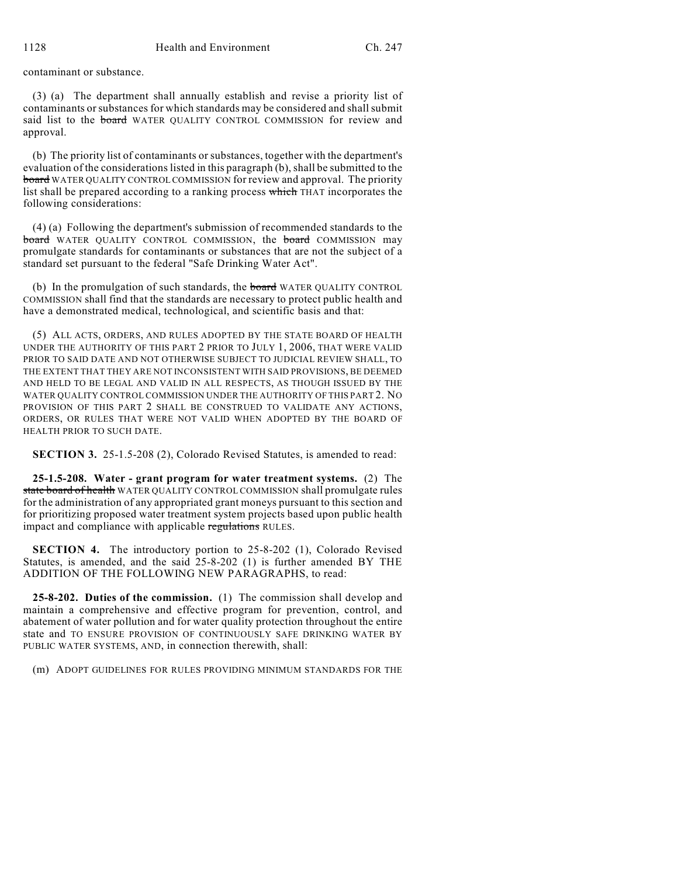contaminant or substance.

(3) (a) The department shall annually establish and revise a priority list of contaminants or substances for which standards may be considered and shall submit said list to the board WATER OUALITY CONTROL COMMISSION for review and approval.

(b) The priority list of contaminants or substances, together with the department's evaluation of the considerations listed in this paragraph (b), shall be submitted to the board WATER QUALITY CONTROL COMMISSION for review and approval. The priority list shall be prepared according to a ranking process which THAT incorporates the following considerations:

(4) (a) Following the department's submission of recommended standards to the board WATER QUALITY CONTROL COMMISSION, the board COMMISSION may promulgate standards for contaminants or substances that are not the subject of a standard set pursuant to the federal "Safe Drinking Water Act".

(b) In the promulgation of such standards, the **board** WATER QUALITY CONTROL COMMISSION shall find that the standards are necessary to protect public health and have a demonstrated medical, technological, and scientific basis and that:

(5) ALL ACTS, ORDERS, AND RULES ADOPTED BY THE STATE BOARD OF HEALTH UNDER THE AUTHORITY OF THIS PART 2 PRIOR TO JULY 1, 2006, THAT WERE VALID PRIOR TO SAID DATE AND NOT OTHERWISE SUBJECT TO JUDICIAL REVIEW SHALL, TO THE EXTENT THAT THEY ARE NOT INCONSISTENT WITH SAID PROVISIONS, BE DEEMED AND HELD TO BE LEGAL AND VALID IN ALL RESPECTS, AS THOUGH ISSUED BY THE WATER QUALITY CONTROL COMMISSION UNDER THE AUTHORITY OF THIS PART 2. NO PROVISION OF THIS PART 2 SHALL BE CONSTRUED TO VALIDATE ANY ACTIONS, ORDERS, OR RULES THAT WERE NOT VALID WHEN ADOPTED BY THE BOARD OF HEALTH PRIOR TO SUCH DATE.

**SECTION 3.** 25-1.5-208 (2), Colorado Revised Statutes, is amended to read:

**25-1.5-208. Water - grant program for water treatment systems.** (2) The state board of health WATER QUALITY CONTROL COMMISSION shall promulgate rules for the administration of any appropriated grant moneys pursuant to this section and for prioritizing proposed water treatment system projects based upon public health impact and compliance with applicable regulations RULES.

**SECTION 4.** The introductory portion to 25-8-202 (1), Colorado Revised Statutes, is amended, and the said 25-8-202 (1) is further amended BY THE ADDITION OF THE FOLLOWING NEW PARAGRAPHS, to read:

**25-8-202. Duties of the commission.** (1) The commission shall develop and maintain a comprehensive and effective program for prevention, control, and abatement of water pollution and for water quality protection throughout the entire state and TO ENSURE PROVISION OF CONTINUOUSLY SAFE DRINKING WATER BY PUBLIC WATER SYSTEMS, AND, in connection therewith, shall:

(m) ADOPT GUIDELINES FOR RULES PROVIDING MINIMUM STANDARDS FOR THE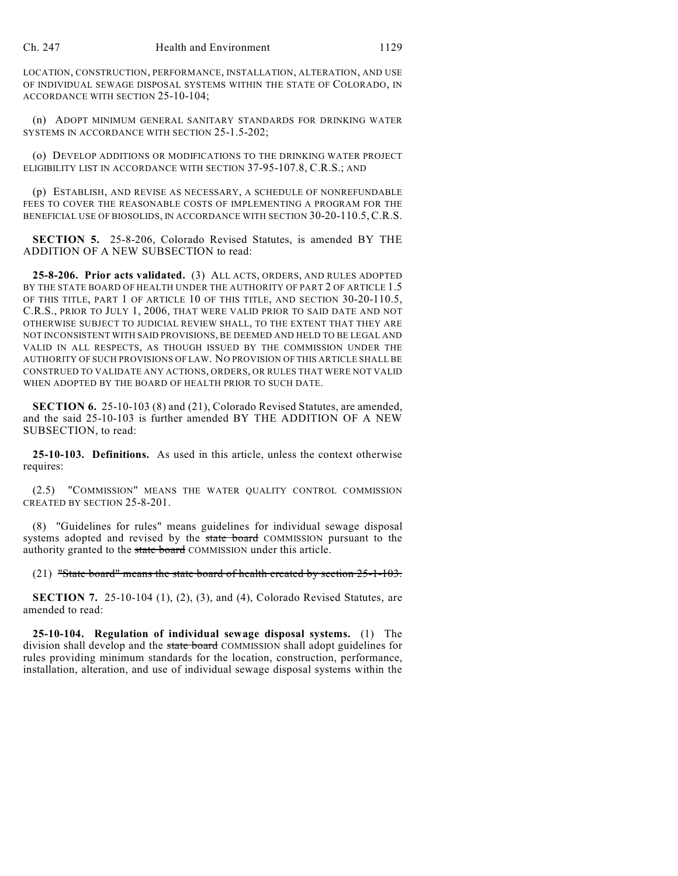LOCATION, CONSTRUCTION, PERFORMANCE, INSTALLATION, ALTERATION, AND USE OF INDIVIDUAL SEWAGE DISPOSAL SYSTEMS WITHIN THE STATE OF COLORADO, IN ACCORDANCE WITH SECTION 25-10-104;

(n) ADOPT MINIMUM GENERAL SANITARY STANDARDS FOR DRINKING WATER SYSTEMS IN ACCORDANCE WITH SECTION 25-1.5-202;

(o) DEVELOP ADDITIONS OR MODIFICATIONS TO THE DRINKING WATER PROJECT ELIGIBILITY LIST IN ACCORDANCE WITH SECTION 37-95-107.8, C.R.S.; AND

(p) ESTABLISH, AND REVISE AS NECESSARY, A SCHEDULE OF NONREFUNDABLE FEES TO COVER THE REASONABLE COSTS OF IMPLEMENTING A PROGRAM FOR THE BENEFICIAL USE OF BIOSOLIDS, IN ACCORDANCE WITH SECTION 30-20-110.5, C.R.S.

**SECTION 5.** 25-8-206, Colorado Revised Statutes, is amended BY THE ADDITION OF A NEW SUBSECTION to read:

**25-8-206. Prior acts validated.** (3) ALL ACTS, ORDERS, AND RULES ADOPTED BY THE STATE BOARD OF HEALTH UNDER THE AUTHORITY OF PART 2 OF ARTICLE 1.5 OF THIS TITLE, PART 1 OF ARTICLE 10 OF THIS TITLE, AND SECTION 30-20-110.5, C.R.S., PRIOR TO JULY 1, 2006, THAT WERE VALID PRIOR TO SAID DATE AND NOT OTHERWISE SUBJECT TO JUDICIAL REVIEW SHALL, TO THE EXTENT THAT THEY ARE NOT INCONSISTENT WITH SAID PROVISIONS, BE DEEMED AND HELD TO BE LEGAL AND VALID IN ALL RESPECTS, AS THOUGH ISSUED BY THE COMMISSION UNDER THE AUTHORITY OF SUCH PROVISIONS OF LAW. NO PROVISION OF THIS ARTICLE SHALL BE CONSTRUED TO VALIDATE ANY ACTIONS, ORDERS, OR RULES THAT WERE NOT VALID WHEN ADOPTED BY THE BOARD OF HEALTH PRIOR TO SUCH DATE.

**SECTION 6.** 25-10-103 (8) and (21), Colorado Revised Statutes, are amended, and the said 25-10-103 is further amended BY THE ADDITION OF A NEW SUBSECTION, to read:

**25-10-103. Definitions.** As used in this article, unless the context otherwise requires:

(2.5) "COMMISSION" MEANS THE WATER QUALITY CONTROL COMMISSION CREATED BY SECTION 25-8-201.

(8) "Guidelines for rules" means guidelines for individual sewage disposal systems adopted and revised by the state board COMMISSION pursuant to the authority granted to the state board COMMISSION under this article.

(21) "State board" means the state board of health created by section 25-1-103.

**SECTION 7.** 25-10-104 (1), (2), (3), and (4), Colorado Revised Statutes, are amended to read:

**25-10-104. Regulation of individual sewage disposal systems.** (1) The division shall develop and the state board COMMISSION shall adopt guidelines for rules providing minimum standards for the location, construction, performance, installation, alteration, and use of individual sewage disposal systems within the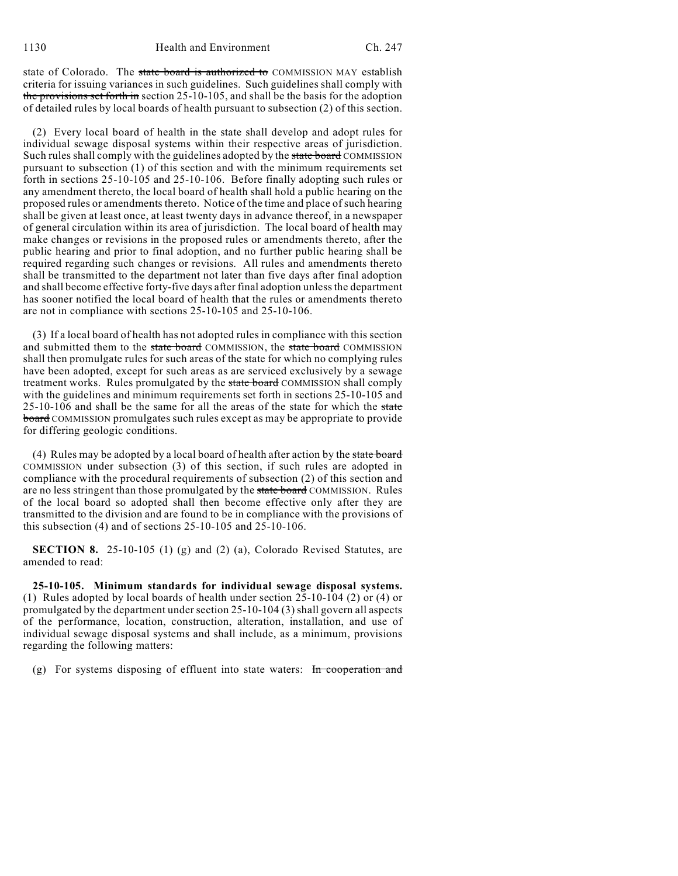state of Colorado. The state board is authorized to COMMISSION MAY establish criteria for issuing variances in such guidelines. Such guidelines shall comply with the provisions set forth in section 25-10-105, and shall be the basis for the adoption of detailed rules by local boards of health pursuant to subsection (2) of this section.

(2) Every local board of health in the state shall develop and adopt rules for individual sewage disposal systems within their respective areas of jurisdiction. Such rules shall comply with the guidelines adopted by the state board COMMISSION pursuant to subsection (1) of this section and with the minimum requirements set forth in sections 25-10-105 and 25-10-106. Before finally adopting such rules or any amendment thereto, the local board of health shall hold a public hearing on the proposed rules or amendments thereto. Notice of the time and place of such hearing shall be given at least once, at least twenty days in advance thereof, in a newspaper of general circulation within its area of jurisdiction. The local board of health may make changes or revisions in the proposed rules or amendments thereto, after the public hearing and prior to final adoption, and no further public hearing shall be required regarding such changes or revisions. All rules and amendments thereto shall be transmitted to the department not later than five days after final adoption and shall become effective forty-five days after final adoption unless the department has sooner notified the local board of health that the rules or amendments thereto are not in compliance with sections 25-10-105 and 25-10-106.

(3) If a local board of health has not adopted rules in compliance with this section and submitted them to the state board COMMISSION, the state board COMMISSION shall then promulgate rules for such areas of the state for which no complying rules have been adopted, except for such areas as are serviced exclusively by a sewage treatment works. Rules promulgated by the state board COMMISSION shall comply with the guidelines and minimum requirements set forth in sections 25-10-105 and 25-10-106 and shall be the same for all the areas of the state for which the state board COMMISSION promulgates such rules except as may be appropriate to provide for differing geologic conditions.

(4) Rules may be adopted by a local board of health after action by the state board COMMISSION under subsection (3) of this section, if such rules are adopted in compliance with the procedural requirements of subsection (2) of this section and are no less stringent than those promulgated by the state board COMMISSION. Rules of the local board so adopted shall then become effective only after they are transmitted to the division and are found to be in compliance with the provisions of this subsection (4) and of sections 25-10-105 and 25-10-106.

**SECTION 8.** 25-10-105 (1) (g) and (2) (a), Colorado Revised Statutes, are amended to read:

**25-10-105. Minimum standards for individual sewage disposal systems.** (1) Rules adopted by local boards of health under section 25-10-104 (2) or (4) or promulgated by the department under section 25-10-104 (3) shall govern all aspects of the performance, location, construction, alteration, installation, and use of individual sewage disposal systems and shall include, as a minimum, provisions regarding the following matters:

(g) For systems disposing of effluent into state waters: In cooperation and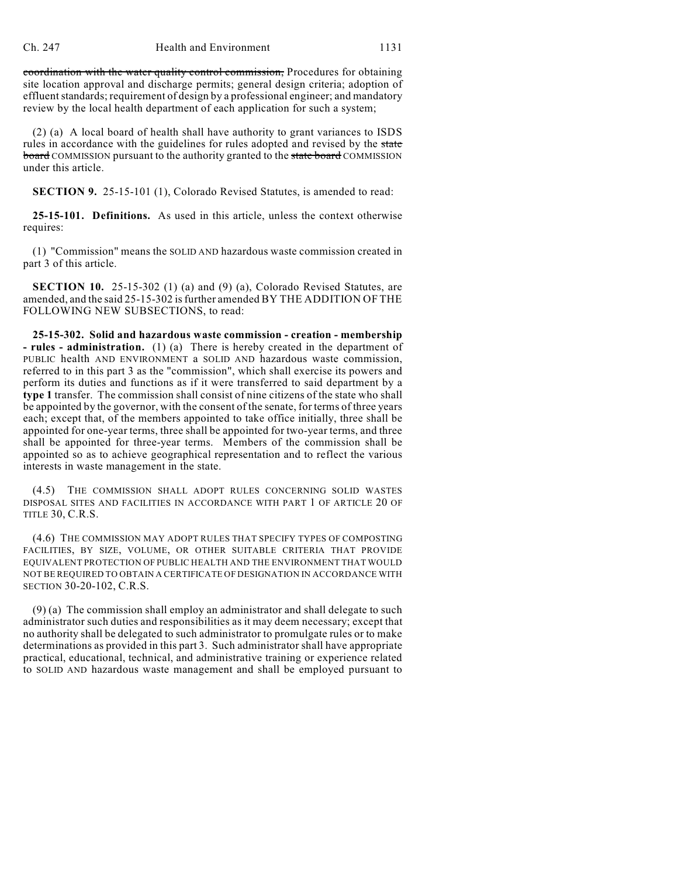coordination with the water quality control commission, Procedures for obtaining site location approval and discharge permits; general design criteria; adoption of effluent standards; requirement of design by a professional engineer; and mandatory review by the local health department of each application for such a system;

(2) (a) A local board of health shall have authority to grant variances to ISDS rules in accordance with the guidelines for rules adopted and revised by the state **board** COMMISSION pursuant to the authority granted to the state board COMMISSION under this article.

**SECTION 9.** 25-15-101 (1), Colorado Revised Statutes, is amended to read:

**25-15-101. Definitions.** As used in this article, unless the context otherwise requires:

(1) "Commission" means the SOLID AND hazardous waste commission created in part 3 of this article.

**SECTION 10.** 25-15-302 (1) (a) and (9) (a), Colorado Revised Statutes, are amended, and the said 25-15-302 is further amended BY THE ADDITION OF THE FOLLOWING NEW SUBSECTIONS, to read:

**25-15-302. Solid and hazardous waste commission - creation - membership - rules - administration.** (1) (a) There is hereby created in the department of PUBLIC health AND ENVIRONMENT a SOLID AND hazardous waste commission, referred to in this part 3 as the "commission", which shall exercise its powers and perform its duties and functions as if it were transferred to said department by a **type 1** transfer. The commission shall consist of nine citizens of the state who shall be appointed by the governor, with the consent of the senate, for terms of three years each; except that, of the members appointed to take office initially, three shall be appointed for one-year terms, three shall be appointed for two-year terms, and three shall be appointed for three-year terms. Members of the commission shall be appointed so as to achieve geographical representation and to reflect the various interests in waste management in the state.

(4.5) THE COMMISSION SHALL ADOPT RULES CONCERNING SOLID WASTES DISPOSAL SITES AND FACILITIES IN ACCORDANCE WITH PART 1 OF ARTICLE 20 OF TITLE 30, C.R.S.

(4.6) THE COMMISSION MAY ADOPT RULES THAT SPECIFY TYPES OF COMPOSTING FACILITIES, BY SIZE, VOLUME, OR OTHER SUITABLE CRITERIA THAT PROVIDE EQUIVALENT PROTECTION OF PUBLIC HEALTH AND THE ENVIRONMENT THAT WOULD NOT BE REQUIRED TO OBTAIN A CERTIFICATE OF DESIGNATION IN ACCORDANCE WITH SECTION 30-20-102, C.R.S.

(9) (a) The commission shall employ an administrator and shall delegate to such administrator such duties and responsibilities as it may deem necessary; except that no authority shall be delegated to such administrator to promulgate rules or to make determinations as provided in this part 3. Such administrator shall have appropriate practical, educational, technical, and administrative training or experience related to SOLID AND hazardous waste management and shall be employed pursuant to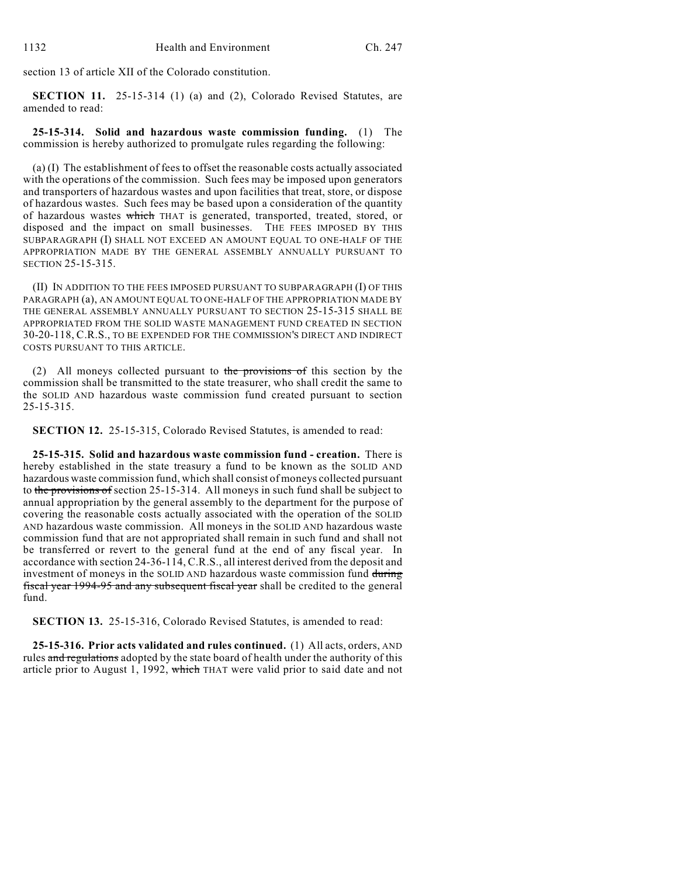section 13 of article XII of the Colorado constitution.

**SECTION 11.** 25-15-314 (1) (a) and (2), Colorado Revised Statutes, are amended to read:

**25-15-314. Solid and hazardous waste commission funding.** (1) The commission is hereby authorized to promulgate rules regarding the following:

(a) (I) The establishment of fees to offset the reasonable costs actually associated with the operations of the commission. Such fees may be imposed upon generators and transporters of hazardous wastes and upon facilities that treat, store, or dispose of hazardous wastes. Such fees may be based upon a consideration of the quantity of hazardous wastes which THAT is generated, transported, treated, stored, or disposed and the impact on small businesses. THE FEES IMPOSED BY THIS SUBPARAGRAPH (I) SHALL NOT EXCEED AN AMOUNT EQUAL TO ONE-HALF OF THE APPROPRIATION MADE BY THE GENERAL ASSEMBLY ANNUALLY PURSUANT TO SECTION 25-15-315.

(II) IN ADDITION TO THE FEES IMPOSED PURSUANT TO SUBPARAGRAPH (I) OF THIS PARAGRAPH (a), AN AMOUNT EQUAL TO ONE-HALF OF THE APPROPRIATION MADE BY THE GENERAL ASSEMBLY ANNUALLY PURSUANT TO SECTION 25-15-315 SHALL BE APPROPRIATED FROM THE SOLID WASTE MANAGEMENT FUND CREATED IN SECTION 30-20-118, C.R.S., TO BE EXPENDED FOR THE COMMISSION'S DIRECT AND INDIRECT COSTS PURSUANT TO THIS ARTICLE.

(2) All moneys collected pursuant to the provisions of this section by the commission shall be transmitted to the state treasurer, who shall credit the same to the SOLID AND hazardous waste commission fund created pursuant to section 25-15-315.

**SECTION 12.** 25-15-315, Colorado Revised Statutes, is amended to read:

**25-15-315. Solid and hazardous waste commission fund - creation.** There is hereby established in the state treasury a fund to be known as the SOLID AND hazardous waste commission fund, which shall consist of moneys collected pursuant to the provisions of section 25-15-314. All moneys in such fund shall be subject to annual appropriation by the general assembly to the department for the purpose of covering the reasonable costs actually associated with the operation of the SOLID AND hazardous waste commission. All moneys in the SOLID AND hazardous waste commission fund that are not appropriated shall remain in such fund and shall not be transferred or revert to the general fund at the end of any fiscal year. In accordance with section 24-36-114, C.R.S., all interest derived from the deposit and investment of moneys in the SOLID AND hazardous waste commission fund during fiscal year 1994-95 and any subsequent fiscal year shall be credited to the general fund.

**SECTION 13.** 25-15-316, Colorado Revised Statutes, is amended to read:

**25-15-316. Prior acts validated and rules continued.** (1) All acts, orders, AND rules and regulations adopted by the state board of health under the authority of this article prior to August 1, 1992, which THAT were valid prior to said date and not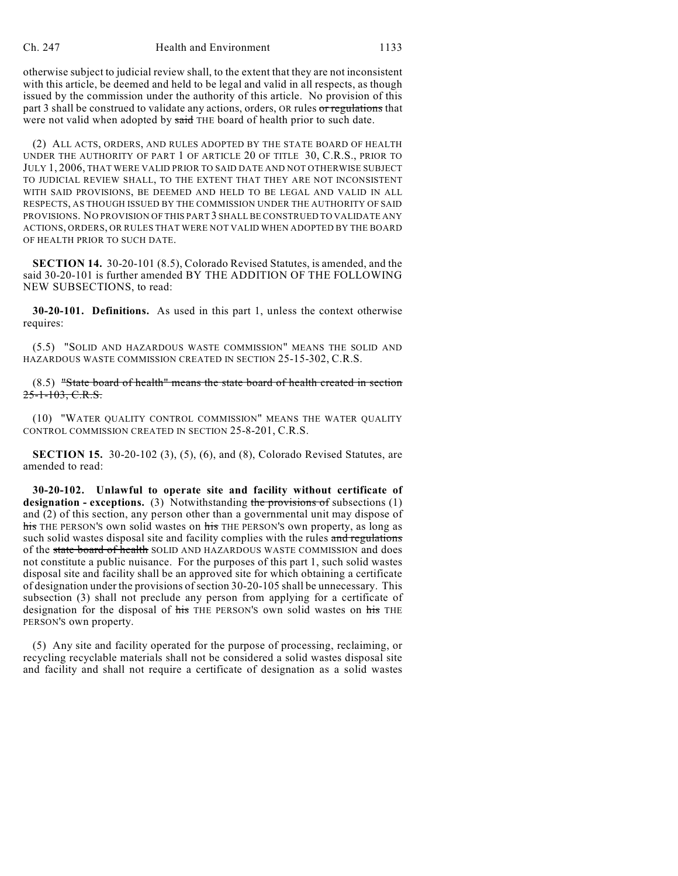otherwise subject to judicial review shall, to the extent that they are not inconsistent with this article, be deemed and held to be legal and valid in all respects, as though issued by the commission under the authority of this article. No provision of this part 3 shall be construed to validate any actions, orders, OR rules or regulations that were not valid when adopted by said THE board of health prior to such date.

(2) ALL ACTS, ORDERS, AND RULES ADOPTED BY THE STATE BOARD OF HEALTH UNDER THE AUTHORITY OF PART 1 OF ARTICLE 20 OF TITLE 30, C.R.S., PRIOR TO JULY 1, 2006, THAT WERE VALID PRIOR TO SAID DATE AND NOT OTHERWISE SUBJECT TO JUDICIAL REVIEW SHALL, TO THE EXTENT THAT THEY ARE NOT INCONSISTENT WITH SAID PROVISIONS, BE DEEMED AND HELD TO BE LEGAL AND VALID IN ALL RESPECTS, AS THOUGH ISSUED BY THE COMMISSION UNDER THE AUTHORITY OF SAID PROVISIONS. NO PROVISION OF THIS PART 3 SHALL BE CONSTRUED TO VALIDATE ANY ACTIONS, ORDERS, OR RULES THAT WERE NOT VALID WHEN ADOPTED BY THE BOARD OF HEALTH PRIOR TO SUCH DATE.

**SECTION 14.** 30-20-101 (8.5), Colorado Revised Statutes, is amended, and the said 30-20-101 is further amended BY THE ADDITION OF THE FOLLOWING NEW SUBSECTIONS, to read:

**30-20-101. Definitions.** As used in this part 1, unless the context otherwise requires:

(5.5) "SOLID AND HAZARDOUS WASTE COMMISSION" MEANS THE SOLID AND HAZARDOUS WASTE COMMISSION CREATED IN SECTION 25-15-302, C.R.S.

(8.5) "State board of health" means the state board of health created in section 25-1-103, C.R.S.

(10) "WATER QUALITY CONTROL COMMISSION" MEANS THE WATER QUALITY CONTROL COMMISSION CREATED IN SECTION 25-8-201, C.R.S.

**SECTION 15.** 30-20-102 (3), (5), (6), and (8), Colorado Revised Statutes, are amended to read:

**30-20-102. Unlawful to operate site and facility without certificate of** designation - exceptions. (3) Notwithstanding the provisions of subsections (1) and (2) of this section, any person other than a governmental unit may dispose of his THE PERSON'S own solid wastes on his THE PERSON'S own property, as long as such solid wastes disposal site and facility complies with the rules and regulations of the state board of health SOLID AND HAZARDOUS WASTE COMMISSION and does not constitute a public nuisance. For the purposes of this part 1, such solid wastes disposal site and facility shall be an approved site for which obtaining a certificate of designation under the provisions of section 30-20-105 shall be unnecessary. This subsection (3) shall not preclude any person from applying for a certificate of designation for the disposal of his THE PERSON'S own solid wastes on his THE PERSON'S own property.

(5) Any site and facility operated for the purpose of processing, reclaiming, or recycling recyclable materials shall not be considered a solid wastes disposal site and facility and shall not require a certificate of designation as a solid wastes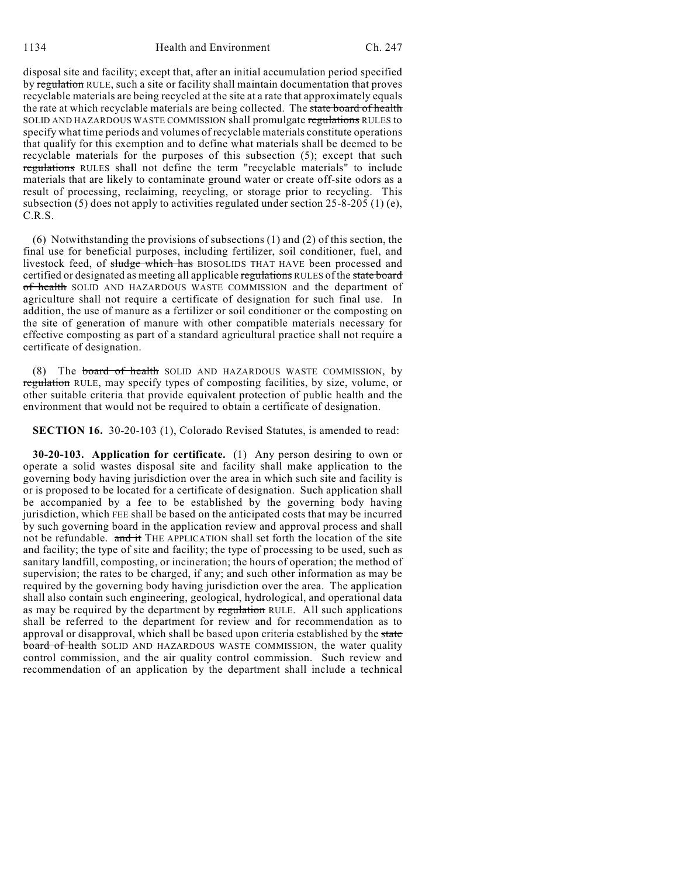disposal site and facility; except that, after an initial accumulation period specified by regulation RULE, such a site or facility shall maintain documentation that proves recyclable materials are being recycled at the site at a rate that approximately equals the rate at which recyclable materials are being collected. The state board of health SOLID AND HAZARDOUS WASTE COMMISSION shall promulgate regulations RULES to specify what time periods and volumes of recyclable materials constitute operations that qualify for this exemption and to define what materials shall be deemed to be recyclable materials for the purposes of this subsection (5); except that such regulations RULES shall not define the term "recyclable materials" to include materials that are likely to contaminate ground water or create off-site odors as a result of processing, reclaiming, recycling, or storage prior to recycling. This subsection (5) does not apply to activities regulated under section  $25-8-205$  (1) (e), C.R.S.

(6) Notwithstanding the provisions of subsections (1) and (2) of this section, the final use for beneficial purposes, including fertilizer, soil conditioner, fuel, and livestock feed, of sludge which has BIOSOLIDS THAT HAVE been processed and certified or designated as meeting all applicable regulations RULES of the state board of health SOLID AND HAZARDOUS WASTE COMMISSION and the department of agriculture shall not require a certificate of designation for such final use. In addition, the use of manure as a fertilizer or soil conditioner or the composting on the site of generation of manure with other compatible materials necessary for effective composting as part of a standard agricultural practice shall not require a certificate of designation.

(8) The board of health SOLID AND HAZARDOUS WASTE COMMISSION, by regulation RULE, may specify types of composting facilities, by size, volume, or other suitable criteria that provide equivalent protection of public health and the environment that would not be required to obtain a certificate of designation.

**SECTION 16.** 30-20-103 (1), Colorado Revised Statutes, is amended to read:

**30-20-103. Application for certificate.** (1) Any person desiring to own or operate a solid wastes disposal site and facility shall make application to the governing body having jurisdiction over the area in which such site and facility is or is proposed to be located for a certificate of designation. Such application shall be accompanied by a fee to be established by the governing body having jurisdiction, which FEE shall be based on the anticipated costs that may be incurred by such governing board in the application review and approval process and shall not be refundable. and it THE APPLICATION shall set forth the location of the site and facility; the type of site and facility; the type of processing to be used, such as sanitary landfill, composting, or incineration; the hours of operation; the method of supervision; the rates to be charged, if any; and such other information as may be required by the governing body having jurisdiction over the area. The application shall also contain such engineering, geological, hydrological, and operational data as may be required by the department by regulation RULE. All such applications shall be referred to the department for review and for recommendation as to approval or disapproval, which shall be based upon criteria established by the state board of health SOLID AND HAZARDOUS WASTE COMMISSION, the water quality control commission, and the air quality control commission. Such review and recommendation of an application by the department shall include a technical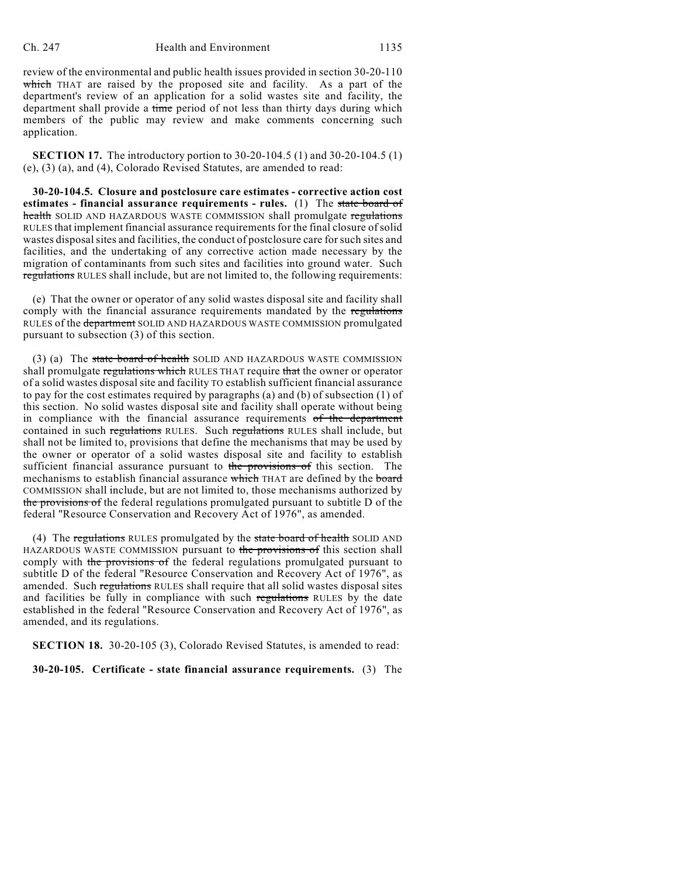review of the environmental and public health issues provided in section 30-20-110 which THAT are raised by the proposed site and facility. As a part of the department's review of an application for a solid wastes site and facility, the department shall provide a time period of not less than thirty days during which members of the public may review and make comments concerning such application.

**SECTION 17.** The introductory portion to 30-20-104.5 (1) and 30-20-104.5 (1) (e), (3) (a), and (4), Colorado Revised Statutes, are amended to read:

**30-20-104.5. Closure and postclosure care estimates - corrective action cost estimates - financial assurance requirements - rules.** (1) The state board of health SOLID AND HAZARDOUS WASTE COMMISSION shall promulgate regulations RULES that implement financial assurance requirements for the final closure of solid wastes disposal sites and facilities, the conduct of postclosure care for such sites and facilities, and the undertaking of any corrective action made necessary by the migration of contaminants from such sites and facilities into ground water. Such regulations RULES shall include, but are not limited to, the following requirements:

(e) That the owner or operator of any solid wastes disposal site and facility shall comply with the financial assurance requirements mandated by the regulations RULES of the department SOLID AND HAZARDOUS WASTE COMMISSION promulgated pursuant to subsection (3) of this section.

(3) (a) The state board of health SOLID AND HAZARDOUS WASTE COMMISSION shall promulgate regulations which RULES THAT require that the owner or operator of a solid wastes disposal site and facility TO establish sufficient financial assurance to pay for the cost estimates required by paragraphs (a) and (b) of subsection (1) of this section. No solid wastes disposal site and facility shall operate without being in compliance with the financial assurance requirements of the department contained in such regulations RULES. Such regulations RULES shall include, but shall not be limited to, provisions that define the mechanisms that may be used by the owner or operator of a solid wastes disposal site and facility to establish sufficient financial assurance pursuant to the provisions of this section. The mechanisms to establish financial assurance which THAT are defined by the board COMMISSION shall include, but are not limited to, those mechanisms authorized by the provisions of the federal regulations promulgated pursuant to subtitle D of the federal "Resource Conservation and Recovery Act of 1976", as amended.

(4) The regulations RULES promulgated by the state board of health SOLID AND HAZARDOUS WASTE COMMISSION pursuant to the provisions of this section shall comply with the provisions of the federal regulations promulgated pursuant to subtitle D of the federal "Resource Conservation and Recovery Act of 1976", as amended. Such regulations RULES shall require that all solid wastes disposal sites and facilities be fully in compliance with such regulations RULES by the date established in the federal "Resource Conservation and Recovery Act of 1976", as amended, and its regulations.

**SECTION 18.** 30-20-105 (3), Colorado Revised Statutes, is amended to read:

**30-20-105. Certificate - state financial assurance requirements.** (3) The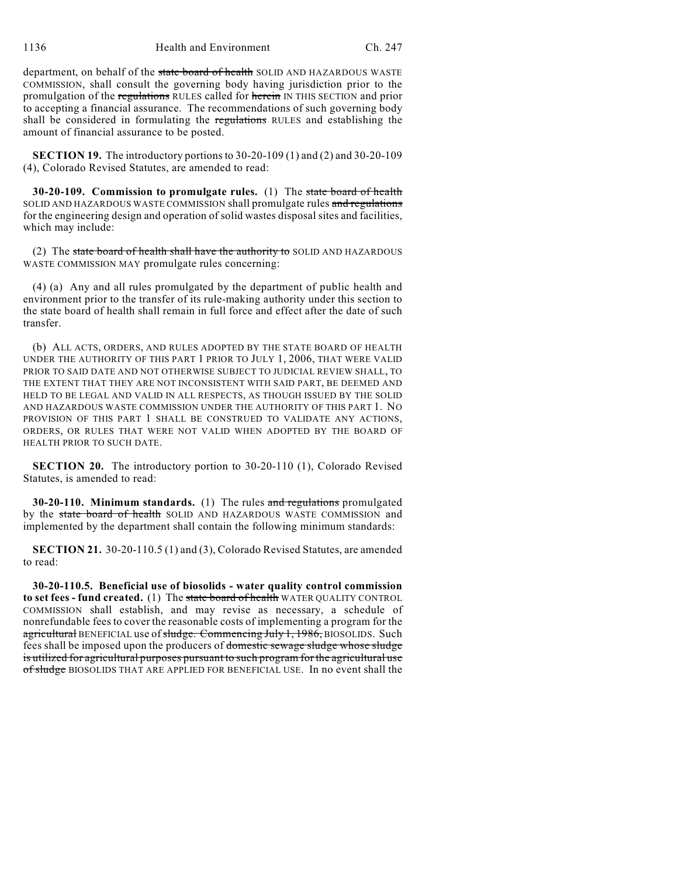1136 Health and Environment Ch. 247

department, on behalf of the state board of health SOLID AND HAZARDOUS WASTE COMMISSION, shall consult the governing body having jurisdiction prior to the promulgation of the regulations RULES called for herein IN THIS SECTION and prior to accepting a financial assurance. The recommendations of such governing body shall be considered in formulating the regulations RULES and establishing the amount of financial assurance to be posted.

**SECTION 19.** The introductory portions to 30-20-109 (1) and (2) and 30-20-109 (4), Colorado Revised Statutes, are amended to read:

**30-20-109. Commission to promulgate rules.** (1) The state board of health SOLID AND HAZARDOUS WASTE COMMISSION shall promulgate rules and regulations for the engineering design and operation of solid wastes disposal sites and facilities, which may include:

(2) The state board of health shall have the authority to SOLID AND HAZARDOUS WASTE COMMISSION MAY promulgate rules concerning:

(4) (a) Any and all rules promulgated by the department of public health and environment prior to the transfer of its rule-making authority under this section to the state board of health shall remain in full force and effect after the date of such transfer.

(b) ALL ACTS, ORDERS, AND RULES ADOPTED BY THE STATE BOARD OF HEALTH UNDER THE AUTHORITY OF THIS PART 1 PRIOR TO JULY 1, 2006, THAT WERE VALID PRIOR TO SAID DATE AND NOT OTHERWISE SUBJECT TO JUDICIAL REVIEW SHALL, TO THE EXTENT THAT THEY ARE NOT INCONSISTENT WITH SAID PART, BE DEEMED AND HELD TO BE LEGAL AND VALID IN ALL RESPECTS, AS THOUGH ISSUED BY THE SOLID AND HAZARDOUS WASTE COMMISSION UNDER THE AUTHORITY OF THIS PART 1. NO PROVISION OF THIS PART 1 SHALL BE CONSTRUED TO VALIDATE ANY ACTIONS, ORDERS, OR RULES THAT WERE NOT VALID WHEN ADOPTED BY THE BOARD OF HEALTH PRIOR TO SUCH DATE.

**SECTION 20.** The introductory portion to 30-20-110 (1), Colorado Revised Statutes, is amended to read:

**30-20-110. Minimum standards.** (1) The rules and regulations promulgated by the state board of health SOLID AND HAZARDOUS WASTE COMMISSION and implemented by the department shall contain the following minimum standards:

**SECTION 21.** 30-20-110.5 (1) and (3), Colorado Revised Statutes, are amended to read:

**30-20-110.5. Beneficial use of biosolids - water quality control commission to set fees - fund created.** (1) The state board of health WATER QUALITY CONTROL COMMISSION shall establish, and may revise as necessary, a schedule of nonrefundable feesto cover the reasonable costs of implementing a program for the agricultural BENEFICIAL use of sludge. Commencing July 1, 1986, BIOSOLIDS. Such fees shall be imposed upon the producers of domestic sewage sludge whose sludge is utilized for agricultural purposes pursuant to such program for the agricultural use of sludge BIOSOLIDS THAT ARE APPLIED FOR BENEFICIAL USE. In no event shall the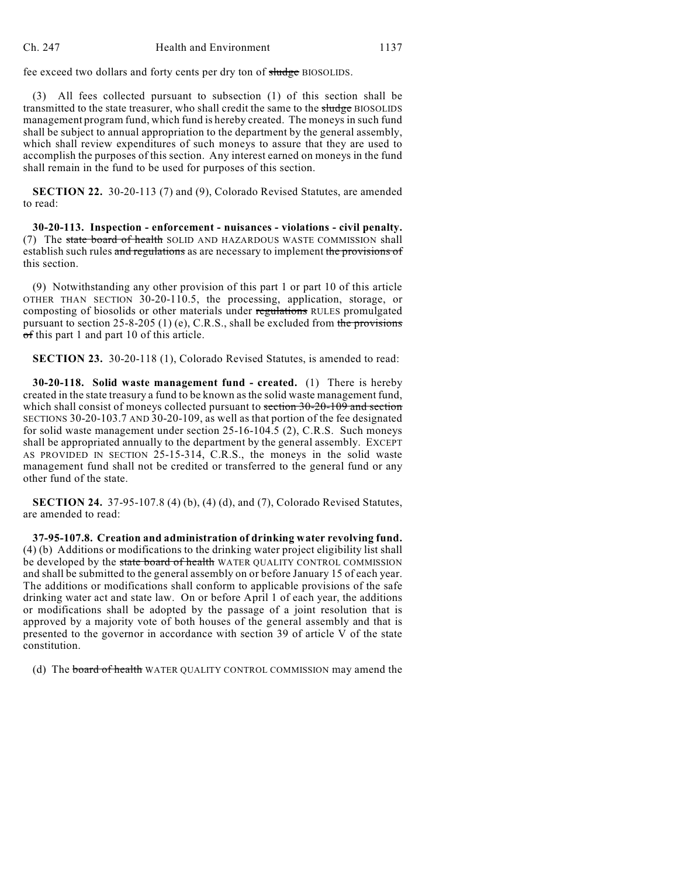fee exceed two dollars and forty cents per dry ton of sludge BIOSOLIDS.

(3) All fees collected pursuant to subsection (1) of this section shall be transmitted to the state treasurer, who shall credit the same to the sludge BIOSOLIDS management program fund, which fund is hereby created. The moneys in such fund shall be subject to annual appropriation to the department by the general assembly, which shall review expenditures of such moneys to assure that they are used to accomplish the purposes of this section. Any interest earned on moneys in the fund shall remain in the fund to be used for purposes of this section.

**SECTION 22.** 30-20-113 (7) and (9), Colorado Revised Statutes, are amended to read:

**30-20-113. Inspection - enforcement - nuisances - violations - civil penalty.** (7) The state board of health SOLID AND HAZARDOUS WASTE COMMISSION shall establish such rules and regulations as are necessary to implement the provisions of this section.

(9) Notwithstanding any other provision of this part 1 or part 10 of this article OTHER THAN SECTION 30-20-110.5, the processing, application, storage, or composting of biosolids or other materials under regulations RULES promulgated pursuant to section 25-8-205 (1) (e), C.R.S., shall be excluded from the provisions  $\sigma$ f this part 1 and part 10 of this article.

**SECTION 23.** 30-20-118 (1), Colorado Revised Statutes, is amended to read:

**30-20-118. Solid waste management fund - created.** (1) There is hereby created in the state treasury a fund to be known as the solid waste management fund, which shall consist of moneys collected pursuant to section 30-20-109 and section SECTIONS 30-20-103.7 AND 30-20-109, as well as that portion of the fee designated for solid waste management under section 25-16-104.5 (2), C.R.S. Such moneys shall be appropriated annually to the department by the general assembly. EXCEPT AS PROVIDED IN SECTION 25-15-314, C.R.S., the moneys in the solid waste management fund shall not be credited or transferred to the general fund or any other fund of the state.

**SECTION 24.** 37-95-107.8 (4) (b), (4) (d), and (7), Colorado Revised Statutes, are amended to read:

**37-95-107.8. Creation and administration of drinking water revolving fund.** (4) (b) Additions or modifications to the drinking water project eligibility list shall be developed by the state board of health WATER QUALITY CONTROL COMMISSION and shall be submitted to the general assembly on or before January 15 of each year. The additions or modifications shall conform to applicable provisions of the safe drinking water act and state law. On or before April 1 of each year, the additions or modifications shall be adopted by the passage of a joint resolution that is approved by a majority vote of both houses of the general assembly and that is presented to the governor in accordance with section 39 of article V of the state constitution.

(d) The board of health WATER QUALITY CONTROL COMMISSION may amend the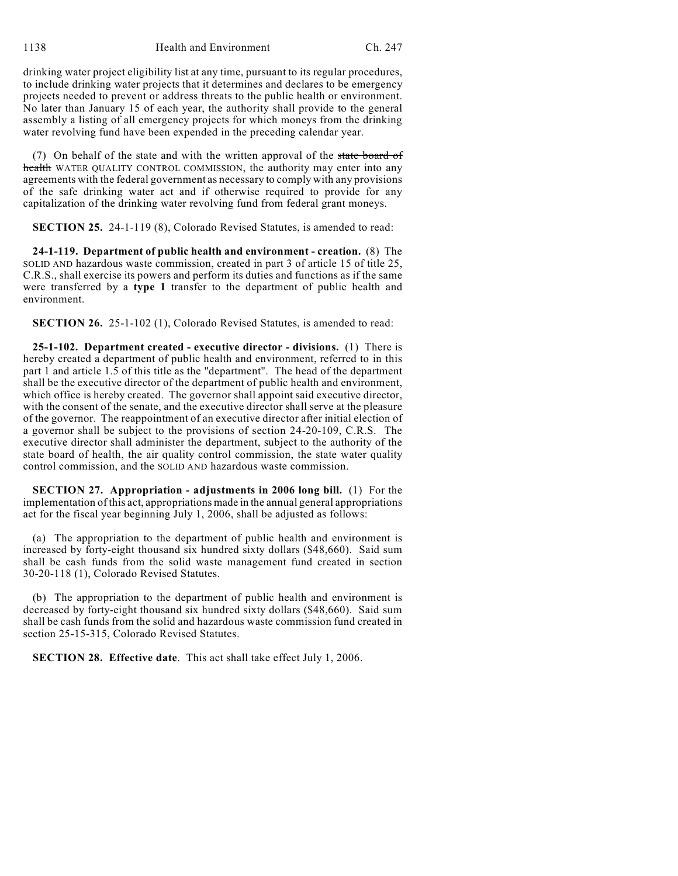drinking water project eligibility list at any time, pursuant to its regular procedures, to include drinking water projects that it determines and declares to be emergency projects needed to prevent or address threats to the public health or environment. No later than January 15 of each year, the authority shall provide to the general assembly a listing of all emergency projects for which moneys from the drinking water revolving fund have been expended in the preceding calendar year.

(7) On behalf of the state and with the written approval of the state board of health WATER QUALITY CONTROL COMMISSION, the authority may enter into any agreements with the federal government as necessary to comply with any provisions of the safe drinking water act and if otherwise required to provide for any capitalization of the drinking water revolving fund from federal grant moneys.

**SECTION 25.** 24-1-119 (8), Colorado Revised Statutes, is amended to read:

**24-1-119. Department of public health and environment - creation.** (8) The SOLID AND hazardous waste commission, created in part 3 of article 15 of title 25, C.R.S., shall exercise its powers and perform its duties and functions as if the same were transferred by a **type 1** transfer to the department of public health and environment.

**SECTION 26.** 25-1-102 (1), Colorado Revised Statutes, is amended to read:

**25-1-102. Department created - executive director - divisions.** (1) There is hereby created a department of public health and environment, referred to in this part 1 and article 1.5 of this title as the "department". The head of the department shall be the executive director of the department of public health and environment, which office is hereby created. The governor shall appoint said executive director, with the consent of the senate, and the executive director shall serve at the pleasure of the governor. The reappointment of an executive director after initial election of a governor shall be subject to the provisions of section 24-20-109, C.R.S. The executive director shall administer the department, subject to the authority of the state board of health, the air quality control commission, the state water quality control commission, and the SOLID AND hazardous waste commission.

**SECTION 27. Appropriation - adjustments in 2006 long bill.** (1) For the implementation of this act, appropriations made in the annual general appropriations act for the fiscal year beginning July 1, 2006, shall be adjusted as follows:

(a) The appropriation to the department of public health and environment is increased by forty-eight thousand six hundred sixty dollars (\$48,660). Said sum shall be cash funds from the solid waste management fund created in section 30-20-118 (1), Colorado Revised Statutes.

(b) The appropriation to the department of public health and environment is decreased by forty-eight thousand six hundred sixty dollars (\$48,660). Said sum shall be cash funds from the solid and hazardous waste commission fund created in section 25-15-315, Colorado Revised Statutes.

**SECTION 28. Effective date**. This act shall take effect July 1, 2006.